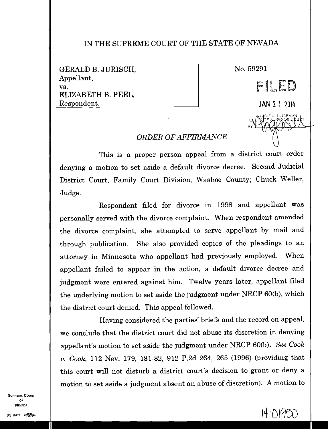## IN THE SUPREME COURT OF THE STATE OF NEVADA

GERALD B. JURISCH, Appellant, vs. ELIZABETH B. PEEL, Respondent.

No. 59291

FEL JAN 2 1 2014 **DREEN** 

RACIE K-LINDEMAN OLIENADE SUBREME-QPUIT.

zRK

*fil* **i** 

<sup>e</sup>**ta l** 

## *ORDER OF AFFIRMANCE*

This is a proper person appeal from a district court order denying a motion to set aside a default divorce decree. Second Judicial District Court, Family Court Division, Washoe County; Chuck Weller, Judge.

Respondent filed for divorce in 1998 and appellant was personally served with the divorce complaint. When respondent amended the divorce complaint, she attempted to serve appellant by mail and through publication. She also provided copies of the pleadings to an attorney in Minnesota who appellant had previously employed. When appellant failed to appear in the action, a default divorce decree and judgment were entered against him. Twelve years later, appellant filed the underlying motion to set aside the judgment under NRCP 60(b), which the district court denied. This appeal followed.

Having considered the parties' briefs and the record on appeal, we conclude that the district court did not abuse its discretion in denying appellant's motion to set aside the judgment under NRCP 60(b). *See Cook v. Cook,* 112 Nev. 179, 181-82, 912 P.2d 264, 265 (1996) (providing that this court will not disturb a district court's decision to grant or deny a motion to set aside a judgment absent an abuse of discretion). A motion to

SUPREME COURT OF NEVADA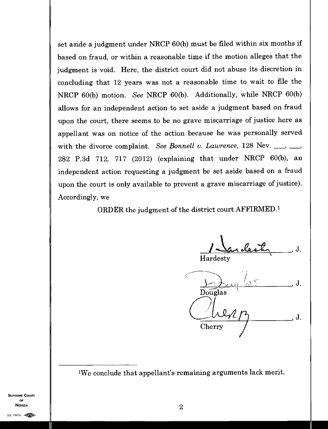set aside a judgment under NRCP 60(b) must be filed within six months if based on fraud, or within a reasonable time if the motion alleges that the judgment is void. Here, the district court did not abuse its discretion in concluding that 12 years was not a reasonable time to wait to file the NRCP 60(b) motion. *See* NRCP 60(b). Additionally, while NRCP 60(b) allows for an independent action to set aside a judgment based on fraud upon the court, there seems to be no grave miscarriage of justice here as appellant was on notice of the action because he was personally served with the divorce complaint. *See Bonnell v. Lawrence*, 128 Nev.  $\frac{1}{1}$ , 282 P.3d 712, 717 (2012) (explaining that under NRCP 60(b), an independent action requesting a judgment be set aside based on a fraud upon the court is only available to prevent a grave miscarriage of justice). Accordingly, we

ORDER the judgment of the district court AFFIRMED. <sup>1</sup>

Sardester

Hardesty

, J. Douglas Cherry J.

'We conclude that appellant's remaining arguments lack merit.

SUPREME COURT OF  $\blacksquare$  $\overline{\text{Nevada}}$ (0) 1947A